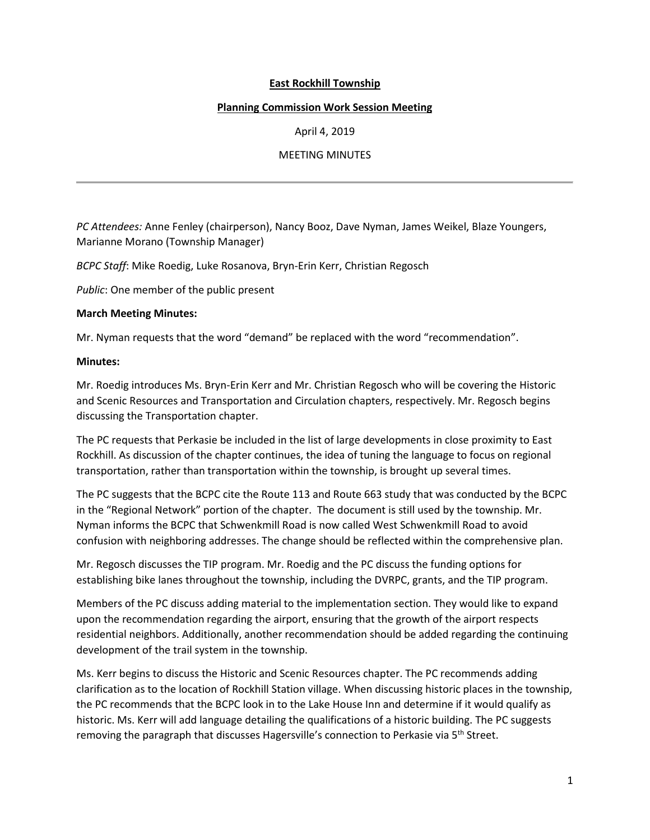# **East Rockhill Township**

### **Planning Commission Work Session Meeting**

April 4, 2019

## MEETING MINUTES

*PC Attendees:* Anne Fenley (chairperson), Nancy Booz, Dave Nyman, James Weikel, Blaze Youngers, Marianne Morano (Township Manager)

*BCPC Staff*: Mike Roedig, Luke Rosanova, Bryn-Erin Kerr, Christian Regosch

*Public*: One member of the public present

### **March Meeting Minutes:**

Mr. Nyman requests that the word "demand" be replaced with the word "recommendation".

### **Minutes:**

Mr. Roedig introduces Ms. Bryn-Erin Kerr and Mr. Christian Regosch who will be covering the Historic and Scenic Resources and Transportation and Circulation chapters, respectively. Mr. Regosch begins discussing the Transportation chapter.

The PC requests that Perkasie be included in the list of large developments in close proximity to East Rockhill. As discussion of the chapter continues, the idea of tuning the language to focus on regional transportation, rather than transportation within the township, is brought up several times.

The PC suggests that the BCPC cite the Route 113 and Route 663 study that was conducted by the BCPC in the "Regional Network" portion of the chapter. The document is still used by the township. Mr. Nyman informs the BCPC that Schwenkmill Road is now called West Schwenkmill Road to avoid confusion with neighboring addresses. The change should be reflected within the comprehensive plan.

Mr. Regosch discusses the TIP program. Mr. Roedig and the PC discuss the funding options for establishing bike lanes throughout the township, including the DVRPC, grants, and the TIP program.

Members of the PC discuss adding material to the implementation section. They would like to expand upon the recommendation regarding the airport, ensuring that the growth of the airport respects residential neighbors. Additionally, another recommendation should be added regarding the continuing development of the trail system in the township.

Ms. Kerr begins to discuss the Historic and Scenic Resources chapter. The PC recommends adding clarification as to the location of Rockhill Station village. When discussing historic places in the township, the PC recommends that the BCPC look in to the Lake House Inn and determine if it would qualify as historic. Ms. Kerr will add language detailing the qualifications of a historic building. The PC suggests removing the paragraph that discusses Hagersville's connection to Perkasie via 5<sup>th</sup> Street.